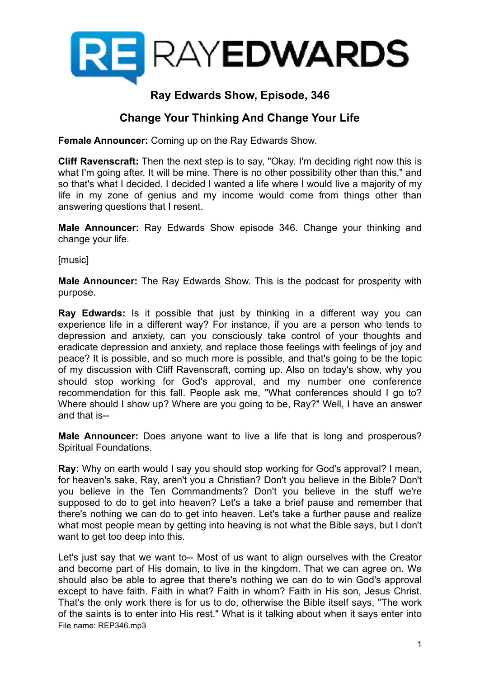

# **Ray Edwards Show, Episode, 346**

## **Change Your Thinking And Change Your Life**

**Female Announcer:** Coming up on the Ray Edwards Show.

**Cliff Ravenscraft:** Then the next step is to say, "Okay. I'm deciding right now this is what I'm going after. It will be mine. There is no other possibility other than this," and so that's what I decided. I decided I wanted a life where I would live a majority of my life in my zone of genius and my income would come from things other than answering questions that I resent.

**Male Announcer:** Ray Edwards Show episode 346. Change your thinking and change your life.

[music]

**Male Announcer:** The Ray Edwards Show. This is the podcast for prosperity with purpose.

**Ray Edwards:** Is it possible that just by thinking in a different way you can experience life in a different way? For instance, if you are a person who tends to depression and anxiety, can you consciously take control of your thoughts and eradicate depression and anxiety, and replace those feelings with feelings of joy and peace? It is possible, and so much more is possible, and that's going to be the topic of my discussion with Cliff Ravenscraft, coming up. Also on today's show, why you should stop working for God's approval, and my number one conference recommendation for this fall. People ask me, "What conferences should I go to? Where should I show up? Where are you going to be, Ray?" Well, I have an answer and that is--

**Male Announcer:** Does anyone want to live a life that is long and prosperous? Spiritual Foundations.

**Ray:** Why on earth would I say you should stop working for God's approval? I mean, for heaven's sake, Ray, aren't you a Christian? Don't you believe in the Bible? Don't you believe in the Ten Commandments? Don't you believe in the stuff we're supposed to do to get into heaven? Let's a take a brief pause and remember that there's nothing we can do to get into heaven. Let's take a further pause and realize what most people mean by getting into heaving is not what the Bible says, but I don't want to get too deep into this.

Let's just say that we want to-- Most of us want to align ourselves with the Creator and become part of His domain, to live in the kingdom. That we can agree on. We should also be able to agree that there's nothing we can do to win God's approval except to have faith. Faith in what? Faith in whom? Faith in His son, Jesus Christ. That's the only work there is for us to do, otherwise the Bible itself says, "The work of the saints is to enter into His rest." What is it talking about when it says enter into File name: REP346.mp3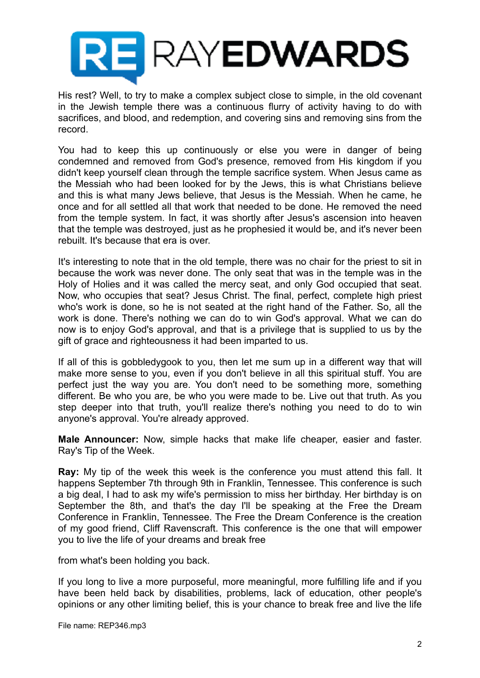

His rest? Well, to try to make a complex subject close to simple, in the old covenant in the Jewish temple there was a continuous flurry of activity having to do with sacrifices, and blood, and redemption, and covering sins and removing sins from the record.

You had to keep this up continuously or else you were in danger of being condemned and removed from God's presence, removed from His kingdom if you didn't keep yourself clean through the temple sacrifice system. When Jesus came as the Messiah who had been looked for by the Jews, this is what Christians believe and this is what many Jews believe, that Jesus is the Messiah. When he came, he once and for all settled all that work that needed to be done. He removed the need from the temple system. In fact, it was shortly after Jesus's ascension into heaven that the temple was destroyed, just as he prophesied it would be, and it's never been rebuilt. It's because that era is over.

It's interesting to note that in the old temple, there was no chair for the priest to sit in because the work was never done. The only seat that was in the temple was in the Holy of Holies and it was called the mercy seat, and only God occupied that seat. Now, who occupies that seat? Jesus Christ. The final, perfect, complete high priest who's work is done, so he is not seated at the right hand of the Father. So, all the work is done. There's nothing we can do to win God's approval. What we can do now is to enjoy God's approval, and that is a privilege that is supplied to us by the gift of grace and righteousness it had been imparted to us.

If all of this is gobbledygook to you, then let me sum up in a different way that will make more sense to you, even if you don't believe in all this spiritual stuff. You are perfect just the way you are. You don't need to be something more, something different. Be who you are, be who you were made to be. Live out that truth. As you step deeper into that truth, you'll realize there's nothing you need to do to win anyone's approval. You're already approved.

**Male Announcer:** Now, simple hacks that make life cheaper, easier and faster. Ray's Tip of the Week.

**Ray:** My tip of the week this week is the conference you must attend this fall. It happens September 7th through 9th in Franklin, Tennessee. This conference is such a big deal, I had to ask my wife's permission to miss her birthday. Her birthday is on September the 8th, and that's the day I'll be speaking at the Free the Dream Conference in Franklin, Tennessee. The Free the Dream Conference is the creation of my good friend, Cliff Ravenscraft. This conference is the one that will empower you to live the life of your dreams and break free

from what's been holding you back.

If you long to live a more purposeful, more meaningful, more fulfilling life and if you have been held back by disabilities, problems, lack of education, other people's opinions or any other limiting belief, this is your chance to break free and live the life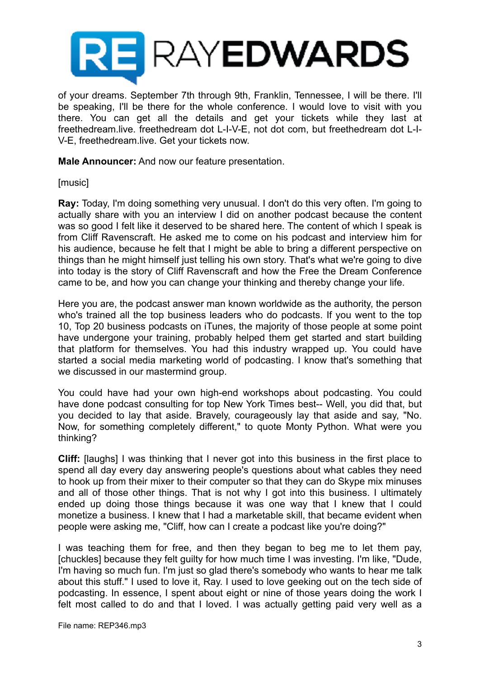

of your dreams. September 7th through 9th, Franklin, Tennessee, I will be there. I'll be speaking, I'll be there for the whole conference. I would love to visit with you there. You can get all the details and get your tickets while they last at freethedream.live. freethedream dot L-I-V-E, not dot com, but freethedream dot L-I-V-E, freethedream.live. Get your tickets now.

**Male Announcer:** And now our feature presentation.

[music]

**Ray:** Today, I'm doing something very unusual. I don't do this very often. I'm going to actually share with you an interview I did on another podcast because the content was so good I felt like it deserved to be shared here. The content of which I speak is from Cliff Ravenscraft. He asked me to come on his podcast and interview him for his audience, because he felt that I might be able to bring a different perspective on things than he might himself just telling his own story. That's what we're going to dive into today is the story of Cliff Ravenscraft and how the Free the Dream Conference came to be, and how you can change your thinking and thereby change your life.

Here you are, the podcast answer man known worldwide as the authority, the person who's trained all the top business leaders who do podcasts. If you went to the top 10, Top 20 business podcasts on iTunes, the majority of those people at some point have undergone your training, probably helped them get started and start building that platform for themselves. You had this industry wrapped up. You could have started a social media marketing world of podcasting. I know that's something that we discussed in our mastermind group.

You could have had your own high-end workshops about podcasting. You could have done podcast consulting for top New York Times best-- Well, you did that, but you decided to lay that aside. Bravely, courageously lay that aside and say, "No. Now, for something completely different," to quote Monty Python. What were you thinking?

**Cliff:** [laughs] I was thinking that I never got into this business in the first place to spend all day every day answering people's questions about what cables they need to hook up from their mixer to their computer so that they can do Skype mix minuses and all of those other things. That is not why I got into this business. I ultimately ended up doing those things because it was one way that I knew that I could monetize a business. I knew that I had a marketable skill, that became evident when people were asking me, "Cliff, how can I create a podcast like you're doing?"

I was teaching them for free, and then they began to beg me to let them pay, [chuckles] because they felt guilty for how much time I was investing. I'm like, "Dude, I'm having so much fun. I'm just so glad there's somebody who wants to hear me talk about this stuff." I used to love it, Ray. I used to love geeking out on the tech side of podcasting. In essence, I spent about eight or nine of those years doing the work I felt most called to do and that I loved. I was actually getting paid very well as a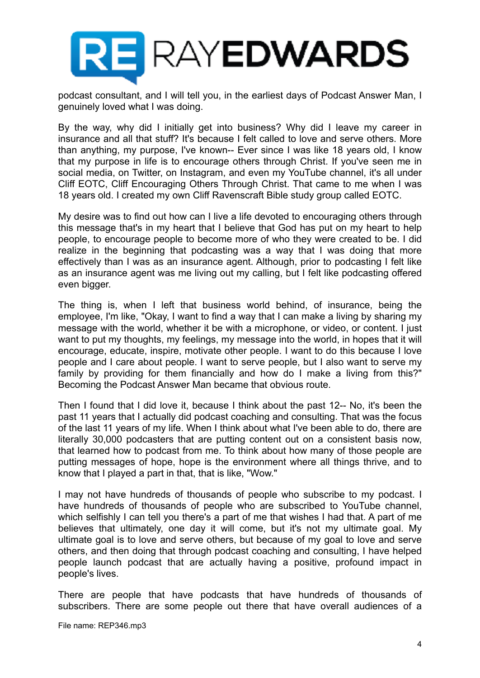

podcast consultant, and I will tell you, in the earliest days of Podcast Answer Man, I genuinely loved what I was doing.

By the way, why did I initially get into business? Why did I leave my career in insurance and all that stuff? It's because I felt called to love and serve others. More than anything, my purpose, I've known-- Ever since I was like 18 years old, I know that my purpose in life is to encourage others through Christ. If you've seen me in social media, on Twitter, on Instagram, and even my YouTube channel, it's all under Cliff EOTC, Cliff Encouraging Others Through Christ. That came to me when I was 18 years old. I created my own Cliff Ravenscraft Bible study group called EOTC.

My desire was to find out how can I live a life devoted to encouraging others through this message that's in my heart that I believe that God has put on my heart to help people, to encourage people to become more of who they were created to be. I did realize in the beginning that podcasting was a way that I was doing that more effectively than I was as an insurance agent. Although, prior to podcasting I felt like as an insurance agent was me living out my calling, but I felt like podcasting offered even bigger.

The thing is, when I left that business world behind, of insurance, being the employee, I'm like, "Okay, I want to find a way that I can make a living by sharing my message with the world, whether it be with a microphone, or video, or content. I just want to put my thoughts, my feelings, my message into the world, in hopes that it will encourage, educate, inspire, motivate other people. I want to do this because I love people and I care about people. I want to serve people, but I also want to serve my family by providing for them financially and how do I make a living from this?" Becoming the Podcast Answer Man became that obvious route.

Then I found that I did love it, because I think about the past 12-- No, it's been the past 11 years that I actually did podcast coaching and consulting. That was the focus of the last 11 years of my life. When I think about what I've been able to do, there are literally 30,000 podcasters that are putting content out on a consistent basis now, that learned how to podcast from me. To think about how many of those people are putting messages of hope, hope is the environment where all things thrive, and to know that I played a part in that, that is like, "Wow."

I may not have hundreds of thousands of people who subscribe to my podcast. I have hundreds of thousands of people who are subscribed to YouTube channel, which selfishly I can tell you there's a part of me that wishes I had that. A part of me believes that ultimately, one day it will come, but it's not my ultimate goal. My ultimate goal is to love and serve others, but because of my goal to love and serve others, and then doing that through podcast coaching and consulting, I have helped people launch podcast that are actually having a positive, profound impact in people's lives.

There are people that have podcasts that have hundreds of thousands of subscribers. There are some people out there that have overall audiences of a

File name: REP346.mp3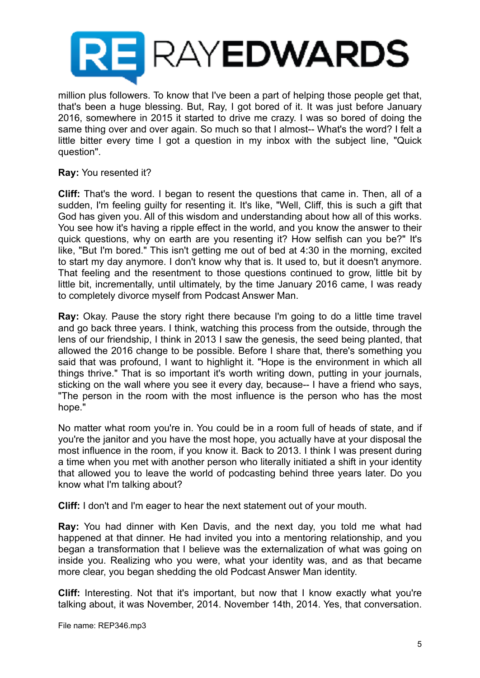

million plus followers. To know that I've been a part of helping those people get that, that's been a huge blessing. But, Ray, I got bored of it. It was just before January 2016, somewhere in 2015 it started to drive me crazy. I was so bored of doing the same thing over and over again. So much so that I almost-- What's the word? I felt a little bitter every time I got a question in my inbox with the subject line, "Quick question".

#### **Ray:** You resented it?

**Cliff:** That's the word. I began to resent the questions that came in. Then, all of a sudden, I'm feeling guilty for resenting it. It's like, "Well, Cliff, this is such a gift that God has given you. All of this wisdom and understanding about how all of this works. You see how it's having a ripple effect in the world, and you know the answer to their quick questions, why on earth are you resenting it? How selfish can you be?" It's like, "But I'm bored." This isn't getting me out of bed at 4:30 in the morning, excited to start my day anymore. I don't know why that is. It used to, but it doesn't anymore. That feeling and the resentment to those questions continued to grow, little bit by little bit, incrementally, until ultimately, by the time January 2016 came, I was ready to completely divorce myself from Podcast Answer Man.

**Ray:** Okay. Pause the story right there because I'm going to do a little time travel and go back three years. I think, watching this process from the outside, through the lens of our friendship, I think in 2013 I saw the genesis, the seed being planted, that allowed the 2016 change to be possible. Before I share that, there's something you said that was profound, I want to highlight it. "Hope is the environment in which all things thrive." That is so important it's worth writing down, putting in your journals, sticking on the wall where you see it every day, because-- I have a friend who says, "The person in the room with the most influence is the person who has the most hope."

No matter what room you're in. You could be in a room full of heads of state, and if you're the janitor and you have the most hope, you actually have at your disposal the most influence in the room, if you know it. Back to 2013. I think I was present during a time when you met with another person who literally initiated a shift in your identity that allowed you to leave the world of podcasting behind three years later. Do you know what I'm talking about?

**Cliff:** I don't and I'm eager to hear the next statement out of your mouth.

**Ray:** You had dinner with Ken Davis, and the next day, you told me what had happened at that dinner. He had invited you into a mentoring relationship, and you began a transformation that I believe was the externalization of what was going on inside you. Realizing who you were, what your identity was, and as that became more clear, you began shedding the old Podcast Answer Man identity.

**Cliff:** Interesting. Not that it's important, but now that I know exactly what you're talking about, it was November, 2014. November 14th, 2014. Yes, that conversation.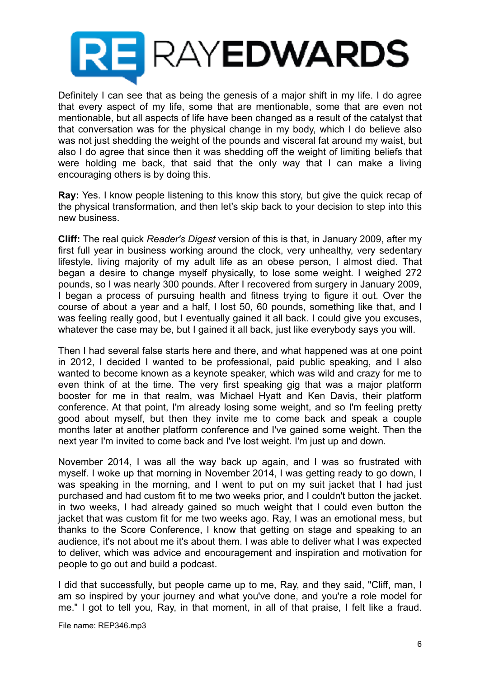

Definitely I can see that as being the genesis of a major shift in my life. I do agree that every aspect of my life, some that are mentionable, some that are even not mentionable, but all aspects of life have been changed as a result of the catalyst that that conversation was for the physical change in my body, which I do believe also was not just shedding the weight of the pounds and visceral fat around my waist, but also I do agree that since then it was shedding off the weight of limiting beliefs that were holding me back, that said that the only way that I can make a living encouraging others is by doing this.

**Ray:** Yes. I know people listening to this know this story, but give the quick recap of the physical transformation, and then let's skip back to your decision to step into this new business.

**Cliff:** The real quick *Reader's Digest* version of this is that, in January 2009, after my first full year in business working around the clock, very unhealthy, very sedentary lifestyle, living majority of my adult life as an obese person, I almost died. That began a desire to change myself physically, to lose some weight. I weighed 272 pounds, so I was nearly 300 pounds. After I recovered from surgery in January 2009, I began a process of pursuing health and fitness trying to figure it out. Over the course of about a year and a half, I lost 50, 60 pounds, something like that, and I was feeling really good, but I eventually gained it all back. I could give you excuses, whatever the case may be, but I gained it all back, just like everybody says you will.

Then I had several false starts here and there, and what happened was at one point in 2012, I decided I wanted to be professional, paid public speaking, and I also wanted to become known as a keynote speaker, which was wild and crazy for me to even think of at the time. The very first speaking gig that was a major platform booster for me in that realm, was Michael Hyatt and Ken Davis, their platform conference. At that point, I'm already losing some weight, and so I'm feeling pretty good about myself, but then they invite me to come back and speak a couple months later at another platform conference and I've gained some weight. Then the next year I'm invited to come back and I've lost weight. I'm just up and down.

November 2014, I was all the way back up again, and I was so frustrated with myself. I woke up that morning in November 2014, I was getting ready to go down, I was speaking in the morning, and I went to put on my suit jacket that I had just purchased and had custom fit to me two weeks prior, and I couldn't button the jacket. in two weeks, I had already gained so much weight that I could even button the jacket that was custom fit for me two weeks ago. Ray, I was an emotional mess, but thanks to the Score Conference, I know that getting on stage and speaking to an audience, it's not about me it's about them. I was able to deliver what I was expected to deliver, which was advice and encouragement and inspiration and motivation for people to go out and build a podcast.

I did that successfully, but people came up to me, Ray, and they said, "Cliff, man, I am so inspired by your journey and what you've done, and you're a role model for me." I got to tell you, Ray, in that moment, in all of that praise, I felt like a fraud.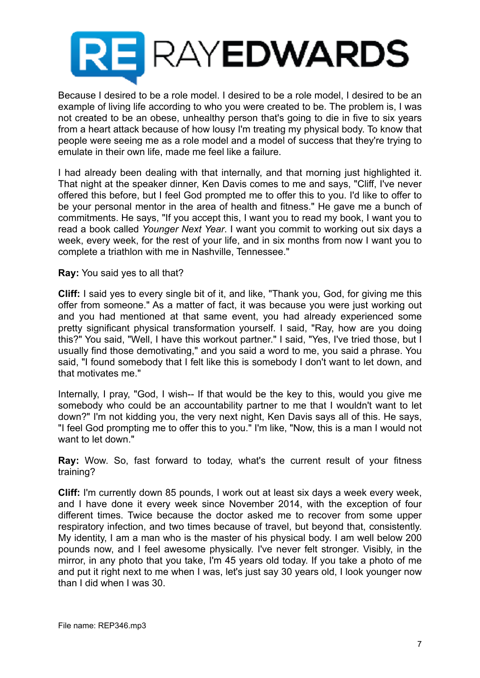

Because I desired to be a role model. I desired to be a role model, I desired to be an example of living life according to who you were created to be. The problem is, I was not created to be an obese, unhealthy person that's going to die in five to six years from a heart attack because of how lousy I'm treating my physical body. To know that people were seeing me as a role model and a model of success that they're trying to emulate in their own life, made me feel like a failure.

I had already been dealing with that internally, and that morning just highlighted it. That night at the speaker dinner, Ken Davis comes to me and says, "Cliff, I've never offered this before, but I feel God prompted me to offer this to you. I'd like to offer to be your personal mentor in the area of health and fitness." He gave me a bunch of commitments. He says, "If you accept this, I want you to read my book, I want you to read a book called *Younger Next Year*. I want you commit to working out six days a week, every week, for the rest of your life, and in six months from now I want you to complete a triathlon with me in Nashville, Tennessee."

**Ray:** You said yes to all that?

**Cliff:** I said yes to every single bit of it, and like, "Thank you, God, for giving me this offer from someone." As a matter of fact, it was because you were just working out and you had mentioned at that same event, you had already experienced some pretty significant physical transformation yourself. I said, "Ray, how are you doing this?" You said, "Well, I have this workout partner." I said, "Yes, I've tried those, but I usually find those demotivating," and you said a word to me, you said a phrase. You said, "I found somebody that I felt like this is somebody I don't want to let down, and that motivates me."

Internally, I pray, "God, I wish-- If that would be the key to this, would you give me somebody who could be an accountability partner to me that I wouldn't want to let down?" I'm not kidding you, the very next night, Ken Davis says all of this. He says, "I feel God prompting me to offer this to you." I'm like, "Now, this is a man I would not want to let down."

**Ray:** Wow. So, fast forward to today, what's the current result of your fitness training?

**Cliff:** I'm currently down 85 pounds, I work out at least six days a week every week, and I have done it every week since November 2014, with the exception of four different times. Twice because the doctor asked me to recover from some upper respiratory infection, and two times because of travel, but beyond that, consistently. My identity, I am a man who is the master of his physical body. I am well below 200 pounds now, and I feel awesome physically. I've never felt stronger. Visibly, in the mirror, in any photo that you take, I'm 45 years old today. If you take a photo of me and put it right next to me when I was, let's just say 30 years old, I look younger now than I did when I was 30.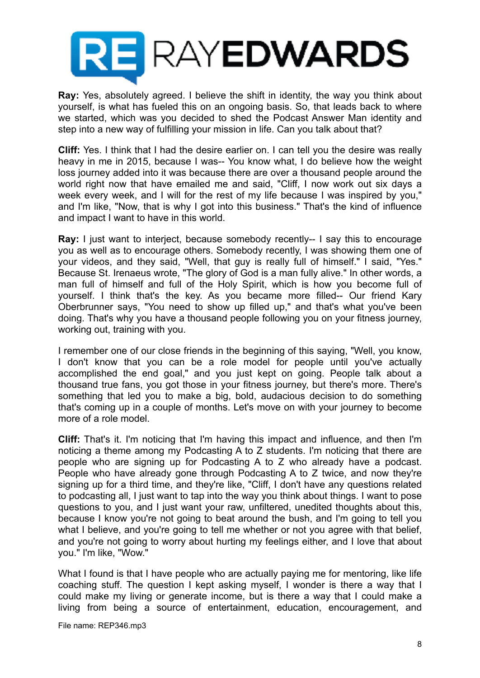

**Ray:** Yes, absolutely agreed. I believe the shift in identity, the way you think about yourself, is what has fueled this on an ongoing basis. So, that leads back to where we started, which was you decided to shed the Podcast Answer Man identity and step into a new way of fulfilling your mission in life. Can you talk about that?

**Cliff:** Yes. I think that I had the desire earlier on. I can tell you the desire was really heavy in me in 2015, because I was-- You know what, I do believe how the weight loss journey added into it was because there are over a thousand people around the world right now that have emailed me and said, "Cliff, I now work out six days a week every week, and I will for the rest of my life because I was inspired by you," and I'm like, "Now, that is why I got into this business." That's the kind of influence and impact I want to have in this world.

**Ray:** I just want to interject, because somebody recently-- I say this to encourage you as well as to encourage others. Somebody recently, I was showing them one of your videos, and they said, "Well, that guy is really full of himself." I said, "Yes." Because St. Irenaeus wrote, "The glory of God is a man fully alive." In other words, a man full of himself and full of the Holy Spirit, which is how you become full of yourself. I think that's the key. As you became more filled-- Our friend Kary Oberbrunner says, "You need to show up filled up," and that's what you've been doing. That's why you have a thousand people following you on your fitness journey, working out, training with you.

I remember one of our close friends in the beginning of this saying, "Well, you know, I don't know that you can be a role model for people until you've actually accomplished the end goal," and you just kept on going. People talk about a thousand true fans, you got those in your fitness journey, but there's more. There's something that led you to make a big, bold, audacious decision to do something that's coming up in a couple of months. Let's move on with your journey to become more of a role model.

**Cliff:** That's it. I'm noticing that I'm having this impact and influence, and then I'm noticing a theme among my Podcasting A to Z students. I'm noticing that there are people who are signing up for Podcasting A to Z who already have a podcast. People who have already gone through Podcasting A to Z twice, and now they're signing up for a third time, and they're like, "Cliff, I don't have any questions related to podcasting all, I just want to tap into the way you think about things. I want to pose questions to you, and I just want your raw, unfiltered, unedited thoughts about this, because I know you're not going to beat around the bush, and I'm going to tell you what I believe, and you're going to tell me whether or not you agree with that belief, and you're not going to worry about hurting my feelings either, and I love that about you." I'm like, "Wow."

What I found is that I have people who are actually paying me for mentoring, like life coaching stuff. The question I kept asking myself, I wonder is there a way that I could make my living or generate income, but is there a way that I could make a living from being a source of entertainment, education, encouragement, and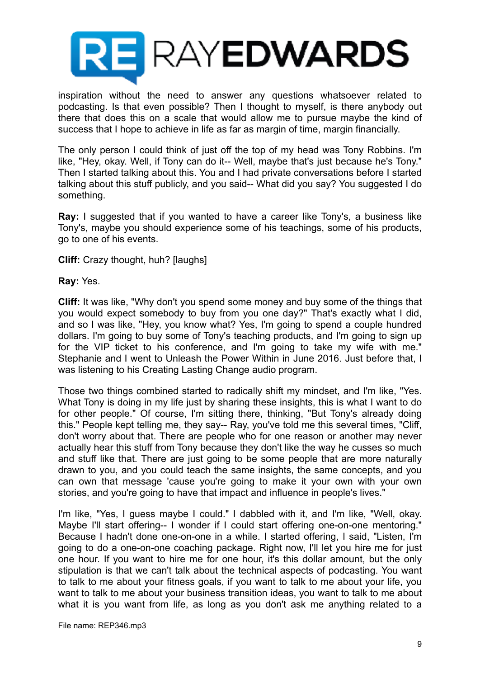

inspiration without the need to answer any questions whatsoever related to podcasting. Is that even possible? Then I thought to myself, is there anybody out there that does this on a scale that would allow me to pursue maybe the kind of success that I hope to achieve in life as far as margin of time, margin financially.

The only person I could think of just off the top of my head was Tony Robbins. I'm like, "Hey, okay. Well, if Tony can do it-- Well, maybe that's just because he's Tony." Then I started talking about this. You and I had private conversations before I started talking about this stuff publicly, and you said-- What did you say? You suggested I do something.

**Ray:** I suggested that if you wanted to have a career like Tony's, a business like Tony's, maybe you should experience some of his teachings, some of his products, go to one of his events.

**Cliff:** Crazy thought, huh? [laughs]

**Ray:** Yes.

**Cliff:** It was like, "Why don't you spend some money and buy some of the things that you would expect somebody to buy from you one day?" That's exactly what I did, and so I was like, "Hey, you know what? Yes, I'm going to spend a couple hundred dollars. I'm going to buy some of Tony's teaching products, and I'm going to sign up for the VIP ticket to his conference, and I'm going to take my wife with me." Stephanie and I went to Unleash the Power Within in June 2016. Just before that, I was listening to his Creating Lasting Change audio program.

Those two things combined started to radically shift my mindset, and I'm like, "Yes. What Tony is doing in my life just by sharing these insights, this is what I want to do for other people." Of course, I'm sitting there, thinking, "But Tony's already doing this." People kept telling me, they say-- Ray, you've told me this several times, "Cliff, don't worry about that. There are people who for one reason or another may never actually hear this stuff from Tony because they don't like the way he cusses so much and stuff like that. There are just going to be some people that are more naturally drawn to you, and you could teach the same insights, the same concepts, and you can own that message 'cause you're going to make it your own with your own stories, and you're going to have that impact and influence in people's lives."

I'm like, "Yes, I guess maybe I could." I dabbled with it, and I'm like, "Well, okay. Maybe I'll start offering-- I wonder if I could start offering one-on-one mentoring." Because I hadn't done one-on-one in a while. I started offering, I said, "Listen, I'm going to do a one-on-one coaching package. Right now, I'll let you hire me for just one hour. If you want to hire me for one hour, it's this dollar amount, but the only stipulation is that we can't talk about the technical aspects of podcasting. You want to talk to me about your fitness goals, if you want to talk to me about your life, you want to talk to me about your business transition ideas, you want to talk to me about what it is you want from life, as long as you don't ask me anything related to a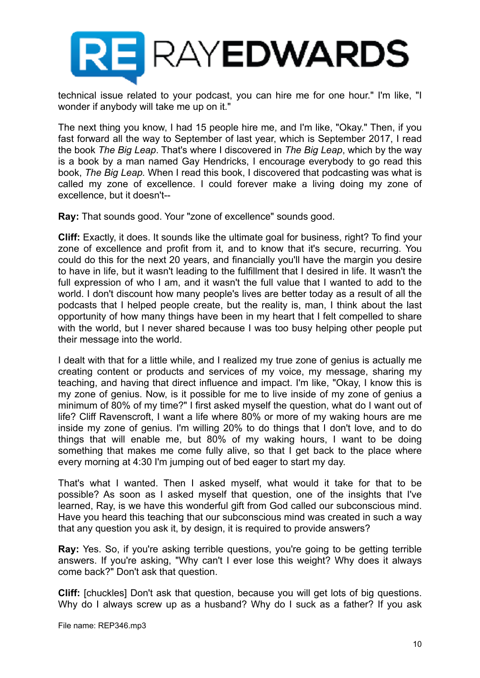

technical issue related to your podcast, you can hire me for one hour." I'm like, "I wonder if anybody will take me up on it."

The next thing you know, I had 15 people hire me, and I'm like, "Okay." Then, if you fast forward all the way to September of last year, which is September 2017, I read the book *The Big Leap*. That's where I discovered in *The Big Leap*, which by the way is a book by a man named Gay Hendricks, I encourage everybody to go read this book, *The Big Leap.* When I read this book, I discovered that podcasting was what is called my zone of excellence. I could forever make a living doing my zone of excellence, but it doesn't--

**Ray:** That sounds good. Your "zone of excellence" sounds good.

**Cliff:** Exactly, it does. It sounds like the ultimate goal for business, right? To find your zone of excellence and profit from it, and to know that it's secure, recurring. You could do this for the next 20 years, and financially you'll have the margin you desire to have in life, but it wasn't leading to the fulfillment that I desired in life. It wasn't the full expression of who I am, and it wasn't the full value that I wanted to add to the world. I don't discount how many people's lives are better today as a result of all the podcasts that I helped people create, but the reality is, man, I think about the last opportunity of how many things have been in my heart that I felt compelled to share with the world, but I never shared because I was too busy helping other people put their message into the world.

I dealt with that for a little while, and I realized my true zone of genius is actually me creating content or products and services of my voice, my message, sharing my teaching, and having that direct influence and impact. I'm like, "Okay, I know this is my zone of genius. Now, is it possible for me to live inside of my zone of genius a minimum of 80% of my time?" I first asked myself the question, what do I want out of life? Cliff Ravenscroft, I want a life where 80% or more of my waking hours are me inside my zone of genius. I'm willing 20% to do things that I don't love, and to do things that will enable me, but 80% of my waking hours, I want to be doing something that makes me come fully alive, so that I get back to the place where every morning at 4:30 I'm jumping out of bed eager to start my day.

That's what I wanted. Then I asked myself, what would it take for that to be possible? As soon as I asked myself that question, one of the insights that I've learned, Ray, is we have this wonderful gift from God called our subconscious mind. Have you heard this teaching that our subconscious mind was created in such a way that any question you ask it, by design, it is required to provide answers?

**Ray:** Yes. So, if you're asking terrible questions, you're going to be getting terrible answers. If you're asking, "Why can't I ever lose this weight? Why does it always come back?" Don't ask that question.

**Cliff:** [chuckles] Don't ask that question, because you will get lots of big questions. Why do I always screw up as a husband? Why do I suck as a father? If you ask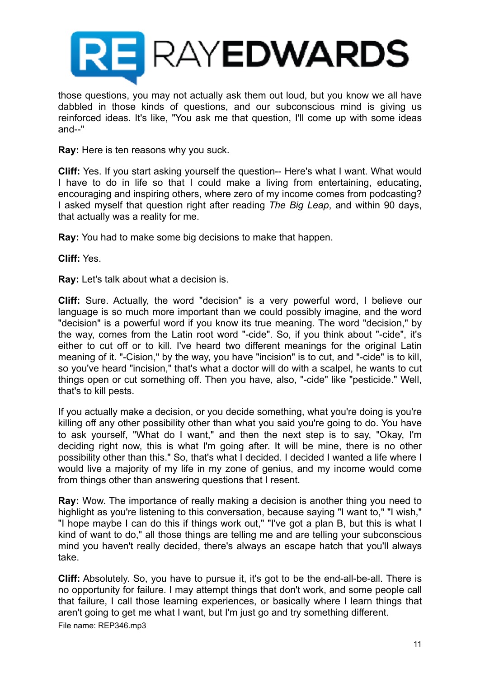

those questions, you may not actually ask them out loud, but you know we all have dabbled in those kinds of questions, and our subconscious mind is giving us reinforced ideas. It's like, "You ask me that question, I'll come up with some ideas and--"

**Ray:** Here is ten reasons why you suck.

**Cliff:** Yes. If you start asking yourself the question-- Here's what I want. What would I have to do in life so that I could make a living from entertaining, educating, encouraging and inspiring others, where zero of my income comes from podcasting? I asked myself that question right after reading *The Big Leap*, and within 90 days, that actually was a reality for me.

**Ray:** You had to make some big decisions to make that happen.

**Cliff:** Yes.

**Ray:** Let's talk about what a decision is.

**Cliff:** Sure. Actually, the word "decision" is a very powerful word, I believe our language is so much more important than we could possibly imagine, and the word "decision" is a powerful word if you know its true meaning. The word "decision," by the way, comes from the Latin root word "-cide". So, if you think about "-cide", it's either to cut off or to kill. I've heard two different meanings for the original Latin meaning of it. "-Cision," by the way, you have "incision" is to cut, and "-cide" is to kill, so you've heard "incision," that's what a doctor will do with a scalpel, he wants to cut things open or cut something off. Then you have, also, "-cide" like "pesticide." Well, that's to kill pests.

If you actually make a decision, or you decide something, what you're doing is you're killing off any other possibility other than what you said you're going to do. You have to ask yourself, "What do I want," and then the next step is to say, "Okay, I'm deciding right now, this is what I'm going after. It will be mine, there is no other possibility other than this." So, that's what I decided. I decided I wanted a life where I would live a majority of my life in my zone of genius, and my income would come from things other than answering questions that I resent.

**Ray:** Wow. The importance of really making a decision is another thing you need to highlight as you're listening to this conversation, because saying "I want to," "I wish," "I hope maybe I can do this if things work out," "I've got a plan B, but this is what I kind of want to do," all those things are telling me and are telling your subconscious mind you haven't really decided, there's always an escape hatch that you'll always take.

**Cliff:** Absolutely. So, you have to pursue it, it's got to be the end-all-be-all. There is no opportunity for failure. I may attempt things that don't work, and some people call that failure, I call those learning experiences, or basically where I learn things that aren't going to get me what I want, but I'm just go and try something different.

File name: REP346.mp3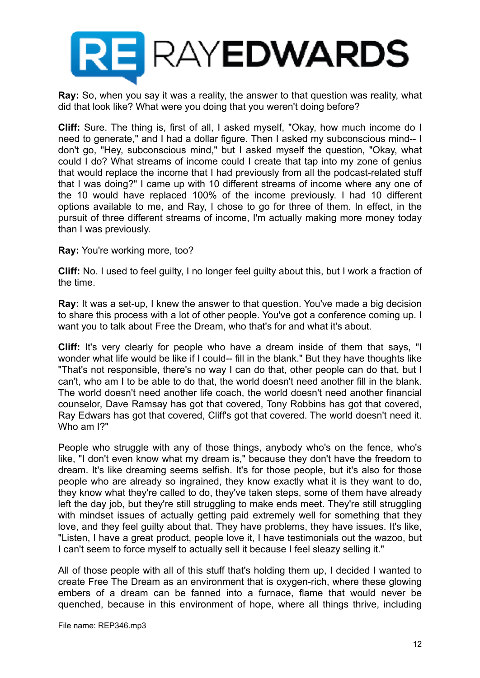

**Ray:** So, when you say it was a reality, the answer to that question was reality, what did that look like? What were you doing that you weren't doing before?

**Cliff:** Sure. The thing is, first of all, I asked myself, "Okay, how much income do I need to generate," and I had a dollar figure. Then I asked my subconscious mind-- I don't go, "Hey, subconscious mind," but I asked myself the question, "Okay, what could I do? What streams of income could I create that tap into my zone of genius that would replace the income that I had previously from all the podcast-related stuff that I was doing?" I came up with 10 different streams of income where any one of the 10 would have replaced 100% of the income previously. I had 10 different options available to me, and Ray, I chose to go for three of them. In effect, in the pursuit of three different streams of income, I'm actually making more money today than I was previously.

**Ray:** You're working more, too?

**Cliff:** No. I used to feel guilty, I no longer feel guilty about this, but I work a fraction of the time.

**Ray:** It was a set-up, I knew the answer to that question. You've made a big decision to share this process with a lot of other people. You've got a conference coming up. I want you to talk about Free the Dream, who that's for and what it's about.

**Cliff:** It's very clearly for people who have a dream inside of them that says, "I wonder what life would be like if I could-- fill in the blank." But they have thoughts like "That's not responsible, there's no way I can do that, other people can do that, but I can't, who am I to be able to do that, the world doesn't need another fill in the blank. The world doesn't need another life coach, the world doesn't need another financial counselor, Dave Ramsay has got that covered, Tony Robbins has got that covered, Ray Edwars has got that covered, Cliff's got that covered. The world doesn't need it. Who am I?"

People who struggle with any of those things, anybody who's on the fence, who's like, "I don't even know what my dream is," because they don't have the freedom to dream. It's like dreaming seems selfish. It's for those people, but it's also for those people who are already so ingrained, they know exactly what it is they want to do, they know what they're called to do, they've taken steps, some of them have already left the day job, but they're still struggling to make ends meet. They're still struggling with mindset issues of actually getting paid extremely well for something that they love, and they feel guilty about that. They have problems, they have issues. It's like, "Listen, I have a great product, people love it, I have testimonials out the wazoo, but I can't seem to force myself to actually sell it because I feel sleazy selling it."

All of those people with all of this stuff that's holding them up, I decided I wanted to create Free The Dream as an environment that is oxygen-rich, where these glowing embers of a dream can be fanned into a furnace, flame that would never be quenched, because in this environment of hope, where all things thrive, including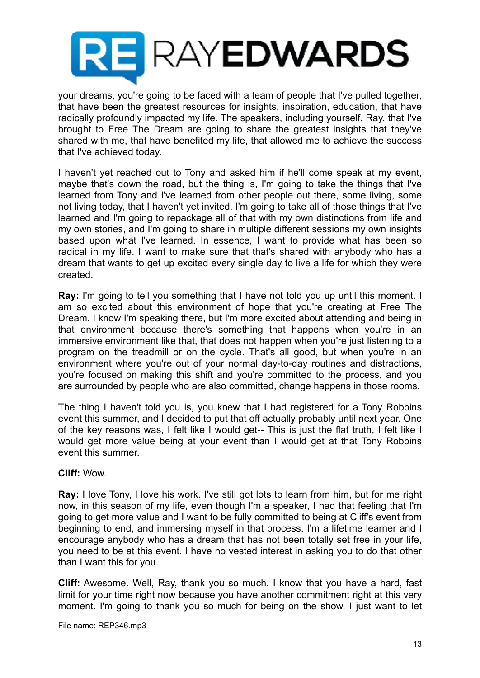

your dreams, you're going to be faced with a team of people that I've pulled together, that have been the greatest resources for insights, inspiration, education, that have radically profoundly impacted my life. The speakers, including yourself, Ray, that I've brought to Free The Dream are going to share the greatest insights that they've shared with me, that have benefited my life, that allowed me to achieve the success that I've achieved today.

I haven't yet reached out to Tony and asked him if he'll come speak at my event, maybe that's down the road, but the thing is, I'm going to take the things that I've learned from Tony and I've learned from other people out there, some living, some not living today, that I haven't yet invited. I'm going to take all of those things that I've learned and I'm going to repackage all of that with my own distinctions from life and my own stories, and I'm going to share in multiple different sessions my own insights based upon what I've learned. In essence, I want to provide what has been so radical in my life. I want to make sure that that's shared with anybody who has a dream that wants to get up excited every single day to live a life for which they were created.

**Ray:** I'm going to tell you something that I have not told you up until this moment. I am so excited about this environment of hope that you're creating at Free The Dream. I know I'm speaking there, but I'm more excited about attending and being in that environment because there's something that happens when you're in an immersive environment like that, that does not happen when you're just listening to a program on the treadmill or on the cycle. That's all good, but when you're in an environment where you're out of your normal day-to-day routines and distractions, you're focused on making this shift and you're committed to the process, and you are surrounded by people who are also committed, change happens in those rooms.

The thing I haven't told you is, you knew that I had registered for a Tony Robbins event this summer, and I decided to put that off actually probably until next year. One of the key reasons was, I felt like I would get-- This is just the flat truth, I felt like I would get more value being at your event than I would get at that Tony Robbins event this summer.

#### **Cliff:** Wow.

**Ray:** I love Tony, I love his work. I've still got lots to learn from him, but for me right now, in this season of my life, even though I'm a speaker, I had that feeling that I'm going to get more value and I want to be fully committed to being at Cliff's event from beginning to end, and immersing myself in that process. I'm a lifetime learner and I encourage anybody who has a dream that has not been totally set free in your life, you need to be at this event. I have no vested interest in asking you to do that other than I want this for you.

**Cliff:** Awesome. Well, Ray, thank you so much. I know that you have a hard, fast limit for your time right now because you have another commitment right at this very moment. I'm going to thank you so much for being on the show. I just want to let

File name: REP346.mp3